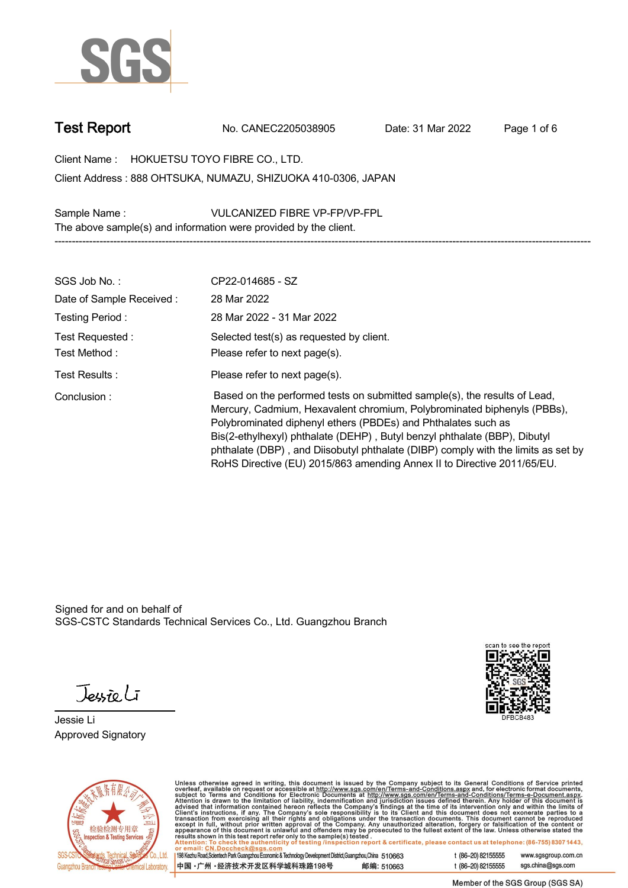

**Test Report. No. CANEC2205038905 . Date: 31 Mar 2022 . Page 1 of 6.**

**Client Name : HOKUETSU TOYO FIBRE CO., LTD. .**

**888 OHTSUKA, NUMAZU, SHIZUOKA 410-0306, JAPAN . Client Address :**

**Sample Name : VULCANIZED FIBRE VP-FP/VP-FPL . The above sample(s) and information were provided by the client.**

| SGS Job No.:                      | CP22-014685 - SZ                                                                                                                                                                                                                                                                                                                                                                                                                                                   |
|-----------------------------------|--------------------------------------------------------------------------------------------------------------------------------------------------------------------------------------------------------------------------------------------------------------------------------------------------------------------------------------------------------------------------------------------------------------------------------------------------------------------|
| Date of Sample Received:          | 28 Mar 2022                                                                                                                                                                                                                                                                                                                                                                                                                                                        |
| Testing Period:                   | 28 Mar 2022 - 31 Mar 2022                                                                                                                                                                                                                                                                                                                                                                                                                                          |
| Test Requested :<br>Test Method : | Selected test(s) as requested by client.<br>Please refer to next page(s).                                                                                                                                                                                                                                                                                                                                                                                          |
| Test Results :                    | Please refer to next page(s).                                                                                                                                                                                                                                                                                                                                                                                                                                      |
| Conclusion:                       | Based on the performed tests on submitted sample(s), the results of Lead,<br>Mercury, Cadmium, Hexavalent chromium, Polybrominated biphenyls (PBBs),<br>Polybrominated diphenyl ethers (PBDEs) and Phthalates such as<br>Bis(2-ethylhexyl) phthalate (DEHP), Butyl benzyl phthalate (BBP), Dibutyl<br>phthalate (DBP), and Diisobutyl phthalate (DIBP) comply with the limits as set by<br>RoHS Directive (EU) 2015/863 amending Annex II to Directive 2011/65/EU. |

**-----------------------------------------------------------------------------------------------------------------------------------------------------------**

Signed for and on behalf of SGS-CSTC Standards Technical Services Co., Ltd. Guangzhou Branch.

Jessieli

**Jessie Li. Approved Signatory .**





Unless otherwise agreed in writing, this document is issued by the Company subject to its General Conditions of Service printed<br>overleaf, available on request or accessible at http://www.sgs.com/en/Terms-and-Conditions.as

| 198 Kezhu Road,Scientech Park Guangzhou Economic & Technology Development District,Guangzhou,China 510663 |            |
|-----------------------------------------------------------------------------------------------------------|------------|
| 中国 •广州 •经济技术开发区科学城科珠路198号 ;                                                                               | 邮编: 510663 |

t (86-20) 82155555 www.sgsgroup.com.cn sgs.china@sgs.com t (86-20) 82155555

Member of the SGS Group (SGS SA)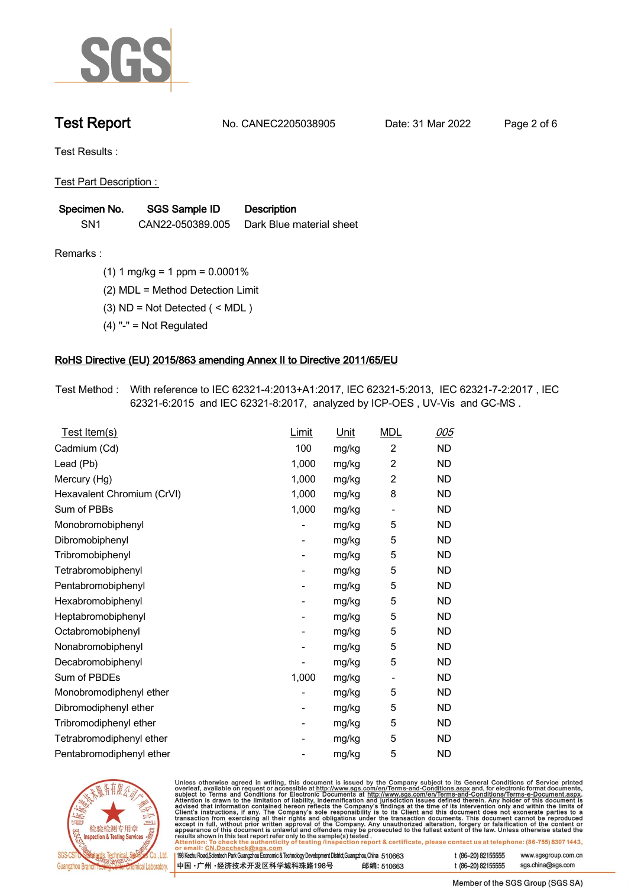

**Test Report. No. CANEC2205038905 . Date: 31 Mar 2022 . Page 2 of 6.**

**Test Results :.**

**Test Part Description : .**

| Specimen No.    | <b>SGS Sample ID</b> | <b>Description</b>       |
|-----------------|----------------------|--------------------------|
| SN <sub>1</sub> | CAN22-050389.005     | Dark Blue material sheet |

**Remarks :.(1) 1 mg/kg = 1 ppm = 0.0001% .**

**(2) MDL = Method Detection Limit .**

**(3) ND = Not Detected ( < MDL ) .**

**(4) "-" = Not Regulated .**

## **RoHS Directive (EU) 2015/863 amending Annex II to Directive 2011/65/EU.**

**Test Method :. With reference to IEC 62321-4:2013+A1:2017, IEC 62321-5:2013, IEC 62321-7-2:2017 , IEC 62321-6:2015 and IEC 62321-8:2017, analyzed by ICP-OES , UV-Vis and GC-MS . .**

| Test Item(s)               | Limit | <u>Unit</u> | <b>MDL</b>                   | <u>005</u> |
|----------------------------|-------|-------------|------------------------------|------------|
| Cadmium (Cd)               | 100   | mg/kg       | $\overline{c}$               | <b>ND</b>  |
| Lead (Pb)                  | 1,000 | mg/kg       | $\overline{2}$               | <b>ND</b>  |
| Mercury (Hg)               | 1,000 | mg/kg       | $\overline{2}$               | <b>ND</b>  |
| Hexavalent Chromium (CrVI) | 1,000 | mg/kg       | 8                            | <b>ND</b>  |
| Sum of PBBs                | 1,000 | mg/kg       | $\qquad \qquad \blacksquare$ | <b>ND</b>  |
| Monobromobiphenyl          |       | mg/kg       | 5                            | <b>ND</b>  |
| Dibromobiphenyl            | -     | mg/kg       | 5                            | <b>ND</b>  |
| Tribromobiphenyl           | -     | mg/kg       | 5                            | <b>ND</b>  |
| Tetrabromobiphenyl         |       | mg/kg       | 5                            | <b>ND</b>  |
| Pentabromobiphenyl         | -     | mg/kg       | 5                            | <b>ND</b>  |
| Hexabromobiphenyl          |       | mg/kg       | 5                            | <b>ND</b>  |
| Heptabromobiphenyl         |       | mg/kg       | 5                            | <b>ND</b>  |
| Octabromobiphenyl          | -     | mg/kg       | 5                            | <b>ND</b>  |
| Nonabromobiphenyl          |       | mg/kg       | 5                            | <b>ND</b>  |
| Decabromobiphenyl          |       | mg/kg       | 5                            | <b>ND</b>  |
| Sum of PBDEs               | 1,000 | mg/kg       | $\overline{\phantom{a}}$     | <b>ND</b>  |
| Monobromodiphenyl ether    |       | mg/kg       | 5                            | <b>ND</b>  |
| Dibromodiphenyl ether      |       | mg/kg       | 5                            | <b>ND</b>  |
| Tribromodiphenyl ether     | -     | mg/kg       | 5                            | <b>ND</b>  |
| Tetrabromodiphenyl ether   |       | mg/kg       | 5                            | <b>ND</b>  |
| Pentabromodiphenyl ether   |       | mg/kg       | 5                            | <b>ND</b>  |



Unless otherwise agreed in writing, this document is issued by the Company subject to its General Conditions of Service printed overleaf, available on request or accessible at http://www.sgs.com/en/Terms-and-Conditions.as

| or email: CN.Doccheck@sgs.com                                                                                |            |                    |                     |
|--------------------------------------------------------------------------------------------------------------|------------|--------------------|---------------------|
| 198 Kezhu Road, Scientech Park Guangzhou Economic & Technology Development District, Guangzhou, China 510663 |            | t (86-20) 82155555 | www.sgsgroup.com.cl |
| ┃中国 •广州 •经济技术开发区科学城科珠路198号 ↓                                                                                 | 邮编: 510663 | t (86-20) 82155555 | sgs.china@sgs.com   |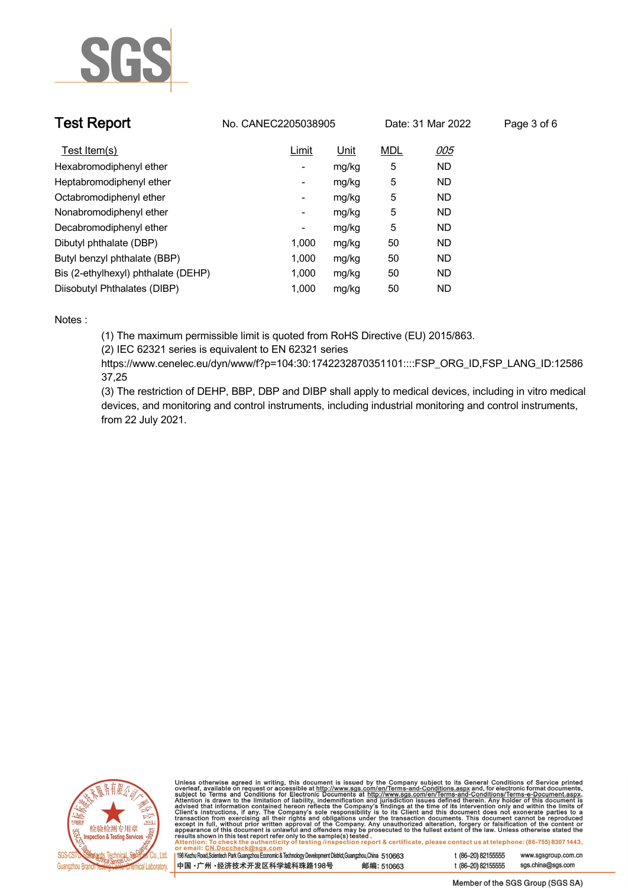

| <b>Test Report</b>                  | No. CANEC2205038905 |             |            | Date: 31 Mar 2022 | Page 3 of 6 |
|-------------------------------------|---------------------|-------------|------------|-------------------|-------------|
| Test Item(s)                        | Limit               | <u>Unit</u> | <u>MDL</u> | <u>005</u>        |             |
| Hexabromodiphenyl ether             | ٠                   | mg/kg       | 5          | <b>ND</b>         |             |
| Heptabromodiphenyl ether            | ٠                   | mg/kg       | 5          | <b>ND</b>         |             |
| Octabromodiphenyl ether             | Ξ.                  | mg/kg       | 5          | <b>ND</b>         |             |
| Nonabromodiphenyl ether             | -                   | mg/kg       | 5          | <b>ND</b>         |             |
| Decabromodiphenyl ether             | ٠                   | mg/kg       | 5          | <b>ND</b>         |             |
| Dibutyl phthalate (DBP)             | 1.000               | mg/kg       | 50         | ND                |             |
| Butyl benzyl phthalate (BBP)        | 1.000               | mg/kg       | 50         | <b>ND</b>         |             |
| Bis (2-ethylhexyl) phthalate (DEHP) | 1.000               | mg/kg       | 50         | <b>ND</b>         |             |
| Diisobutyl Phthalates (DIBP)        | 1.000               | mg/kg       | 50         | <b>ND</b>         |             |

### **Notes :.**

**(1) The maximum permissible limit is quoted from RoHS Directive (EU) 2015/863.**

**(2) IEC 62321 series is equivalent to EN 62321 series**

**https://www.cenelec.eu/dyn/www/f?p=104:30:1742232870351101::::FSP\_ORG\_ID,FSP\_LANG\_ID:12586 37,25**

**(3) The restriction of DEHP, BBP, DBP and DIBP shall apply to medical devices, including in vitro medical devices, and monitoring and control instruments, including industrial monitoring and control instruments, from 22 July 2021..**



Unless otherwise agreed in writing, this document is issued by the Company subject to its General Conditions of Service printed<br>overleaf, available on request or accessible at http://www.sgs.com/en/Terms-and-Conditions.as

| 198 Kezhu Road, Scientech Park Guangzhou Economic & Technology Development District, Guangzhou, China 510663 |            |
|--------------------------------------------------------------------------------------------------------------|------------|
| 中国 •广州 •经济技术开发区科学城科珠路198号                                                                                    | 邮编: 510663 |

www.sgsgroup.com.cn

t (86-20) 82155555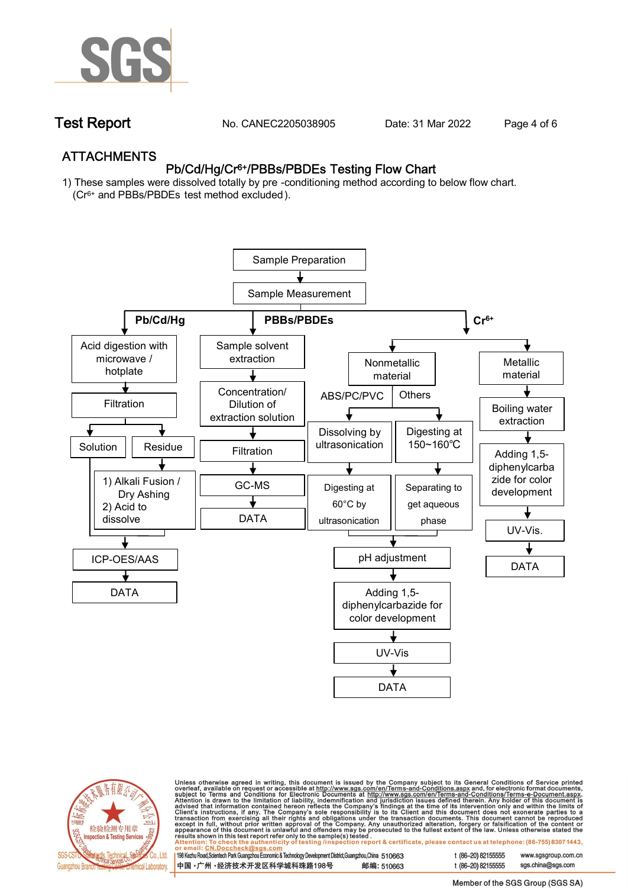

**Test Report. No. CANEC2205038905 . Date: 31 Mar 2022 . Page 4 of 6.**

## **ATTACHMENTS Pb/Cd/Hg/Cr6+/PBBs/PBDEs Testing Flow Chart**

**1) These samples were dissolved totally by pre -conditioning method according to below flow chart. (Cr6+ and PBBs/PBDEs test method excluded ).**





Unless otherwise agreed in writing, this document is issued by the Company subject to its General Conditions of Service printed<br>overleaf, available on request or accessible at <u>http://www.sgs.com/en/Terms-and-Conditions.a</u>

| 198 Kezhu Road,Scientech Park Guangzhou Economic & Technology Development District,Guangzhou,China 510663 |            |
|-----------------------------------------------------------------------------------------------------------|------------|
| 中国 •广州 •经济技术开发区科学城科珠路198号 »                                                                               | 邮编: 510663 |

t (86-20) 82155555 www.sgsgroup.com.cn t (86-20) 82155555 sas.china@sas.com

Member of the SGS Group (SGS SA)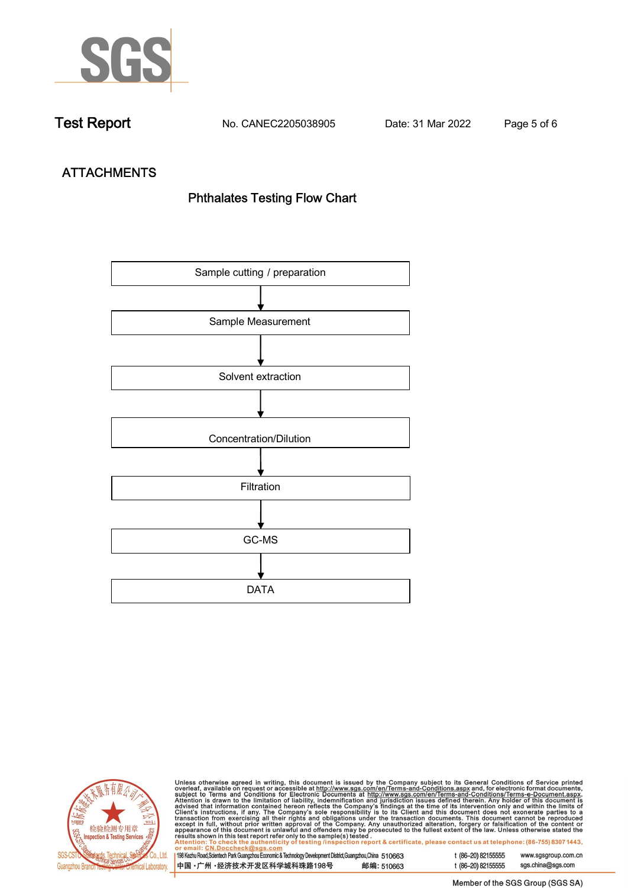

**Test Report. No. CANEC2205038905 . Date: 31 Mar 2022 . Page 5 of 6.**

# **ATTACHMENTS Phthalates Testing Flow Chart**





Unless otherwise agreed in writing, this document is issued by the Company subject to its General Conditions of Service printed<br>overleaf, available on request or accessible at http://www.sgs.com/en/Terms-and-Conditions.as

| <u>UI GIIIAII. UN.DUCCIIGUNWƏYƏ.CUIII</u>                                                                    |            |
|--------------------------------------------------------------------------------------------------------------|------------|
| 198 Kezhu Road, Scientech Park Guangzhou Economic & Technology Development District, Guangzhou, China 510663 |            |
| 中国 •广州 •经济技术开发区科学城科珠路198号                                                                                    | 邮编: 510663 |

t (86-20) 82155555 sgs.china@sgs.com

www.sgsgroup.com.cn

t (86-20) 82155555